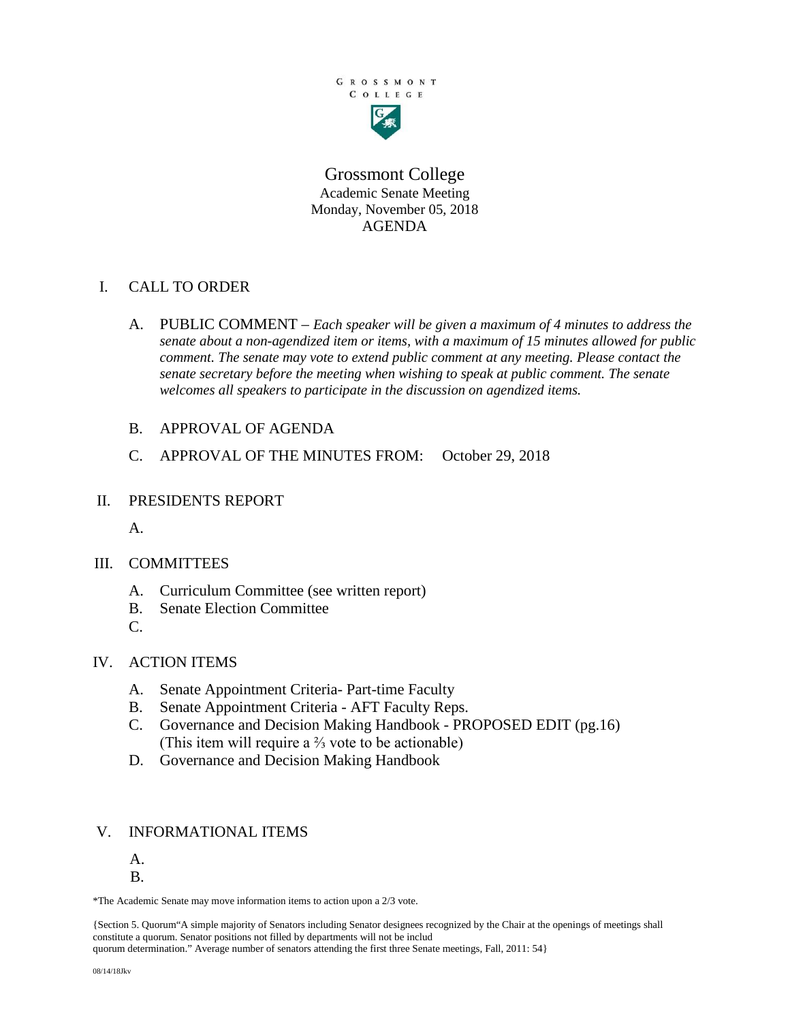

Grossmont College Academic Senate Meeting Monday, November 05, 2018 AGENDA

## I. CALL TO ORDER

- A. PUBLIC COMMENT *Each speaker will be given a maximum of 4 minutes to address the senate about a non-agendized item or items, with a maximum of 15 minutes allowed for public comment. The senate may vote to extend public comment at any meeting. Please contact the senate secretary before the meeting when wishing to speak at public comment. The senate welcomes all speakers to participate in the discussion on agendized items.*
- B. APPROVAL OF AGENDA
- C. APPROVAL OF THE MINUTES FROM: October 29, 2018
- II. PRESIDENTS REPORT

A.

- III. COMMITTEES
	- A. Curriculum Committee (see written report)
	- B. Senate Election Committee
	- $C<sub>c</sub>$

## IV. ACTION ITEMS

- A. Senate Appointment Criteria- Part-time Faculty
- B. Senate Appointment Criteria AFT Faculty Reps.
- C. Governance and Decision Making Handbook PROPOSED EDIT (pg.16) (This item will require a ⅔ vote to be actionable)
- D. Governance and Decision Making Handbook

## V. INFORMATIONAL ITEMS

- A.
- B.

\*The Academic Senate may move information items to action upon a 2/3 vote.

{Section 5. Quorum"A simple majority of Senators including Senator designees recognized by the Chair at the openings of meetings shall constitute a quorum. Senator positions not filled by departments will not be includ

quorum determination." Average number of senators attending the first three Senate meetings, Fall, 2011: 54}